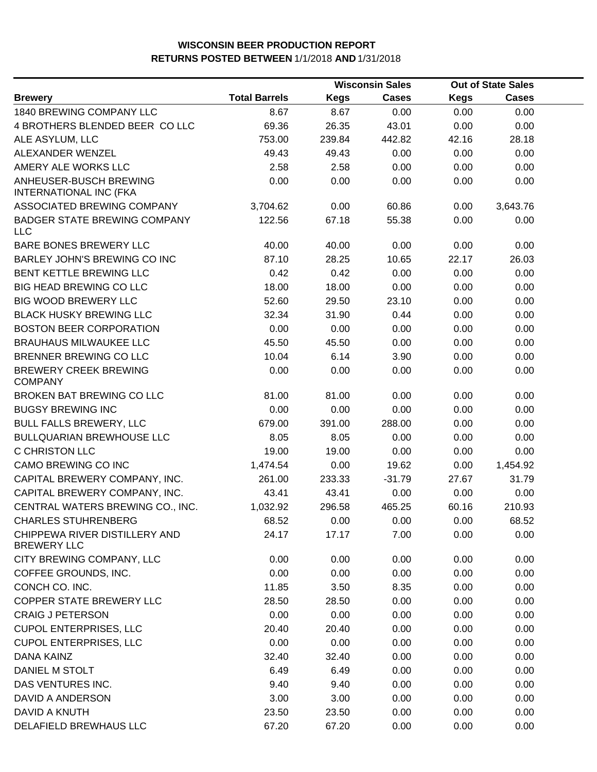|                                                     | <b>Wisconsin Sales</b> |             |              | Out of State Sales |              |  |
|-----------------------------------------------------|------------------------|-------------|--------------|--------------------|--------------|--|
| <b>Brewery</b>                                      | <b>Total Barrels</b>   | <b>Kegs</b> | <b>Cases</b> | <b>Kegs</b>        | <b>Cases</b> |  |
| 1840 BREWING COMPANY LLC                            | 8.67                   | 8.67        | 0.00         | 0.00               | 0.00         |  |
| 4 BROTHERS BLENDED BEER COLLC                       | 69.36                  | 26.35       | 43.01        | 0.00               | 0.00         |  |
| ALE ASYLUM, LLC                                     | 753.00                 | 239.84      | 442.82       | 42.16              | 28.18        |  |
| ALEXANDER WENZEL                                    | 49.43                  | 49.43       | 0.00         | 0.00               | 0.00         |  |
| AMERY ALE WORKS LLC                                 | 2.58                   | 2.58        | 0.00         | 0.00               | 0.00         |  |
| ANHEUSER-BUSCH BREWING<br>INTERNATIONAL INC (FKA    | 0.00                   | 0.00        | 0.00         | 0.00               | 0.00         |  |
| ASSOCIATED BREWING COMPANY                          | 3,704.62               | 0.00        | 60.86        | 0.00               | 3,643.76     |  |
| BADGER STATE BREWING COMPANY<br>LLC                 | 122.56                 | 67.18       | 55.38        | 0.00               | 0.00         |  |
| BARE BONES BREWERY LLC                              | 40.00                  | 40.00       | 0.00         | 0.00               | 0.00         |  |
| BARLEY JOHN'S BREWING CO INC                        | 87.10                  | 28.25       | 10.65        | 22.17              | 26.03        |  |
| BENT KETTLE BREWING LLC                             | 0.42                   | 0.42        | 0.00         | 0.00               | 0.00         |  |
| <b>BIG HEAD BREWING CO LLC</b>                      | 18.00                  | 18.00       | 0.00         | 0.00               | 0.00         |  |
| <b>BIG WOOD BREWERY LLC</b>                         | 52.60                  | 29.50       | 23.10        | 0.00               | 0.00         |  |
| <b>BLACK HUSKY BREWING LLC</b>                      | 32.34                  | 31.90       | 0.44         | 0.00               | 0.00         |  |
| <b>BOSTON BEER CORPORATION</b>                      | 0.00                   | 0.00        | 0.00         | 0.00               | 0.00         |  |
| <b>BRAUHAUS MILWAUKEE LLC</b>                       | 45.50                  | 45.50       | 0.00         | 0.00               | 0.00         |  |
| BRENNER BREWING CO LLC                              | 10.04                  | 6.14        | 3.90         | 0.00               | 0.00         |  |
| <b>BREWERY CREEK BREWING</b><br><b>COMPANY</b>      | 0.00                   | 0.00        | 0.00         | 0.00               | 0.00         |  |
| BROKEN BAT BREWING CO LLC                           | 81.00                  | 81.00       | 0.00         | 0.00               | 0.00         |  |
| <b>BUGSY BREWING INC</b>                            | 0.00                   | 0.00        | 0.00         | 0.00               | 0.00         |  |
| <b>BULL FALLS BREWERY, LLC</b>                      | 679.00                 | 391.00      | 288.00       | 0.00               | 0.00         |  |
| <b>BULLQUARIAN BREWHOUSE LLC</b>                    | 8.05                   | 8.05        | 0.00         | 0.00               | 0.00         |  |
| <b>C CHRISTON LLC</b>                               | 19.00                  | 19.00       | 0.00         | 0.00               | 0.00         |  |
| CAMO BREWING CO INC                                 | 1,474.54               | 0.00        | 19.62        | 0.00               | 1,454.92     |  |
| CAPITAL BREWERY COMPANY, INC.                       | 261.00                 | 233.33      | $-31.79$     | 27.67              | 31.79        |  |
| CAPITAL BREWERY COMPANY, INC.                       | 43.41                  | 43.41       | 0.00         | 0.00               | 0.00         |  |
| CENTRAL WATERS BREWING CO., INC.                    | 1,032.92               | 296.58      | 465.25       | 60.16              | 210.93       |  |
| <b>CHARLES STUHRENBERG</b>                          | 68.52                  | 0.00        | 0.00         | 0.00               | 68.52        |  |
| CHIPPEWA RIVER DISTILLERY AND<br><b>BREWERY LLC</b> | 24.17                  | 17.17       | 7.00         | 0.00               | 0.00         |  |
| CITY BREWING COMPANY, LLC                           | 0.00                   | 0.00        | 0.00         | 0.00               | 0.00         |  |
| COFFEE GROUNDS, INC.                                | 0.00                   | 0.00        | 0.00         | 0.00               | 0.00         |  |
| CONCH CO. INC.                                      | 11.85                  | 3.50        | 8.35         | 0.00               | 0.00         |  |
| COPPER STATE BREWERY LLC                            | 28.50                  | 28.50       | 0.00         | 0.00               | 0.00         |  |
| <b>CRAIG J PETERSON</b>                             | 0.00                   | 0.00        | 0.00         | 0.00               | 0.00         |  |
| <b>CUPOL ENTERPRISES, LLC</b>                       | 20.40                  | 20.40       | 0.00         | 0.00               | 0.00         |  |
| <b>CUPOL ENTERPRISES, LLC</b>                       | 0.00                   | 0.00        | 0.00         | 0.00               | 0.00         |  |
| DANA KAINZ                                          | 32.40                  | 32.40       | 0.00         | 0.00               | 0.00         |  |
| DANIEL M STOLT                                      | 6.49                   | 6.49        | 0.00         | 0.00               | 0.00         |  |
| DAS VENTURES INC.                                   | 9.40                   | 9.40        | 0.00         | 0.00               | 0.00         |  |
| DAVID A ANDERSON                                    | 3.00                   | 3.00        | 0.00         | 0.00               | 0.00         |  |
| DAVID A KNUTH                                       | 23.50                  | 23.50       | 0.00         | 0.00               | 0.00         |  |
| DELAFIELD BREWHAUS LLC                              | 67.20                  | 67.20       | 0.00         | 0.00               | 0.00         |  |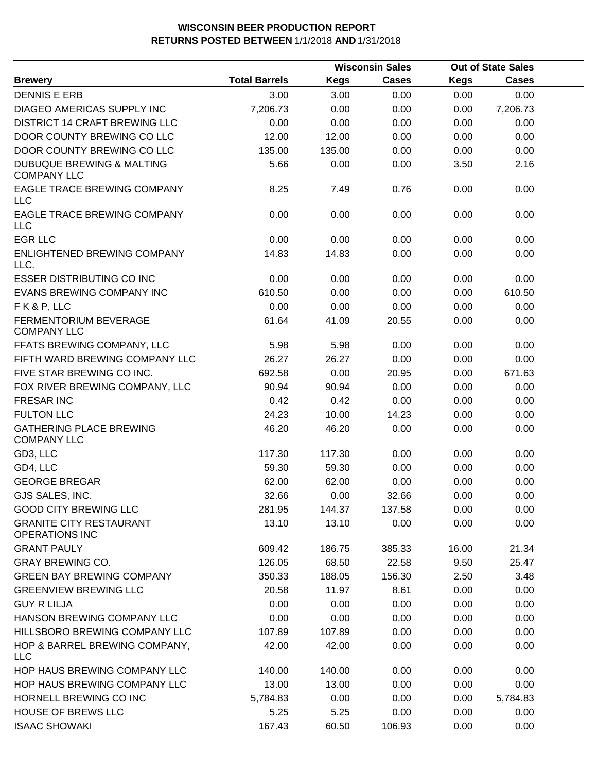|                                                            |                      |             | <b>Wisconsin Sales</b> |             | <b>Out of State Sales</b> |  |
|------------------------------------------------------------|----------------------|-------------|------------------------|-------------|---------------------------|--|
| <b>Brewery</b>                                             | <b>Total Barrels</b> | <b>Kegs</b> | <b>Cases</b>           | <b>Kegs</b> | Cases                     |  |
| <b>DENNIS E ERB</b>                                        | 3.00                 | 3.00        | 0.00                   | 0.00        | 0.00                      |  |
| DIAGEO AMERICAS SUPPLY INC                                 | 7,206.73             | 0.00        | 0.00                   | 0.00        | 7,206.73                  |  |
| DISTRICT 14 CRAFT BREWING LLC                              | 0.00                 | 0.00        | 0.00                   | 0.00        | 0.00                      |  |
| DOOR COUNTY BREWING CO LLC                                 | 12.00                | 12.00       | 0.00                   | 0.00        | 0.00                      |  |
| DOOR COUNTY BREWING CO LLC                                 | 135.00               | 135.00      | 0.00                   | 0.00        | 0.00                      |  |
| <b>DUBUQUE BREWING &amp; MALTING</b><br><b>COMPANY LLC</b> | 5.66                 | 0.00        | 0.00                   | 3.50        | 2.16                      |  |
| EAGLE TRACE BREWING COMPANY<br><b>LLC</b>                  | 8.25                 | 7.49        | 0.76                   | 0.00        | 0.00                      |  |
| EAGLE TRACE BREWING COMPANY<br>LLC                         | 0.00                 | 0.00        | 0.00                   | 0.00        | 0.00                      |  |
| <b>EGR LLC</b>                                             | 0.00                 | 0.00        | 0.00                   | 0.00        | 0.00                      |  |
| ENLIGHTENED BREWING COMPANY<br>LLC.                        | 14.83                | 14.83       | 0.00                   | 0.00        | 0.00                      |  |
| <b>ESSER DISTRIBUTING CO INC</b>                           | 0.00                 | 0.00        | 0.00                   | 0.00        | 0.00                      |  |
| EVANS BREWING COMPANY INC                                  | 610.50               | 0.00        | 0.00                   | 0.00        | 610.50                    |  |
| FK&P, LLC                                                  | 0.00                 | 0.00        | 0.00                   | 0.00        | 0.00                      |  |
| <b>FERMENTORIUM BEVERAGE</b><br><b>COMPANY LLC</b>         | 61.64                | 41.09       | 20.55                  | 0.00        | 0.00                      |  |
| FFATS BREWING COMPANY, LLC                                 | 5.98                 | 5.98        | 0.00                   | 0.00        | 0.00                      |  |
| FIFTH WARD BREWING COMPANY LLC                             | 26.27                | 26.27       | 0.00                   | 0.00        | 0.00                      |  |
| FIVE STAR BREWING CO INC.                                  | 692.58               | 0.00        | 20.95                  | 0.00        | 671.63                    |  |
| FOX RIVER BREWING COMPANY, LLC                             | 90.94                | 90.94       | 0.00                   | 0.00        | 0.00                      |  |
| <b>FRESAR INC</b>                                          | 0.42                 | 0.42        | 0.00                   | 0.00        | 0.00                      |  |
| <b>FULTON LLC</b>                                          | 24.23                | 10.00       | 14.23                  | 0.00        | 0.00                      |  |
| <b>GATHERING PLACE BREWING</b><br><b>COMPANY LLC</b>       | 46.20                | 46.20       | 0.00                   | 0.00        | 0.00                      |  |
| GD3, LLC                                                   | 117.30               | 117.30      | 0.00                   | 0.00        | 0.00                      |  |
| GD4, LLC                                                   | 59.30                | 59.30       | 0.00                   | 0.00        | 0.00                      |  |
| <b>GEORGE BREGAR</b>                                       | 62.00                | 62.00       | 0.00                   | 0.00        | 0.00                      |  |
| GJS SALES, INC.                                            | 32.66                | 0.00        | 32.66                  | 0.00        | 0.00                      |  |
| <b>GOOD CITY BREWING LLC</b>                               | 281.95               | 144.37      | 137.58                 | 0.00        | 0.00                      |  |
| <b>GRANITE CITY RESTAURANT</b><br>OPERATIONS INC           | 13.10                | 13.10       | 0.00                   | 0.00        | 0.00                      |  |
| <b>GRANT PAULY</b>                                         | 609.42               | 186.75      | 385.33                 | 16.00       | 21.34                     |  |
| <b>GRAY BREWING CO.</b>                                    | 126.05               | 68.50       | 22.58                  | 9.50        | 25.47                     |  |
| <b>GREEN BAY BREWING COMPANY</b>                           | 350.33               | 188.05      | 156.30                 | 2.50        | 3.48                      |  |
| <b>GREENVIEW BREWING LLC</b>                               | 20.58                | 11.97       | 8.61                   | 0.00        | 0.00                      |  |
| <b>GUY R LILJA</b>                                         | 0.00                 | 0.00        | 0.00                   | 0.00        | 0.00                      |  |
| HANSON BREWING COMPANY LLC                                 | 0.00                 | 0.00        | 0.00                   | 0.00        | 0.00                      |  |
| HILLSBORO BREWING COMPANY LLC                              | 107.89               | 107.89      | 0.00                   | 0.00        | 0.00                      |  |
| HOP & BARREL BREWING COMPANY,<br><b>LLC</b>                | 42.00                | 42.00       | 0.00                   | 0.00        | 0.00                      |  |
| HOP HAUS BREWING COMPANY LLC                               | 140.00               | 140.00      | 0.00                   | 0.00        | 0.00                      |  |
| HOP HAUS BREWING COMPANY LLC                               | 13.00                | 13.00       | 0.00                   | 0.00        | 0.00                      |  |
| HORNELL BREWING CO INC                                     | 5,784.83             | 0.00        | 0.00                   | 0.00        | 5,784.83                  |  |
| <b>HOUSE OF BREWS LLC</b>                                  | 5.25                 | 5.25        | 0.00                   | 0.00        | 0.00                      |  |
| <b>ISAAC SHOWAKI</b>                                       | 167.43               | 60.50       | 106.93                 | 0.00        | 0.00                      |  |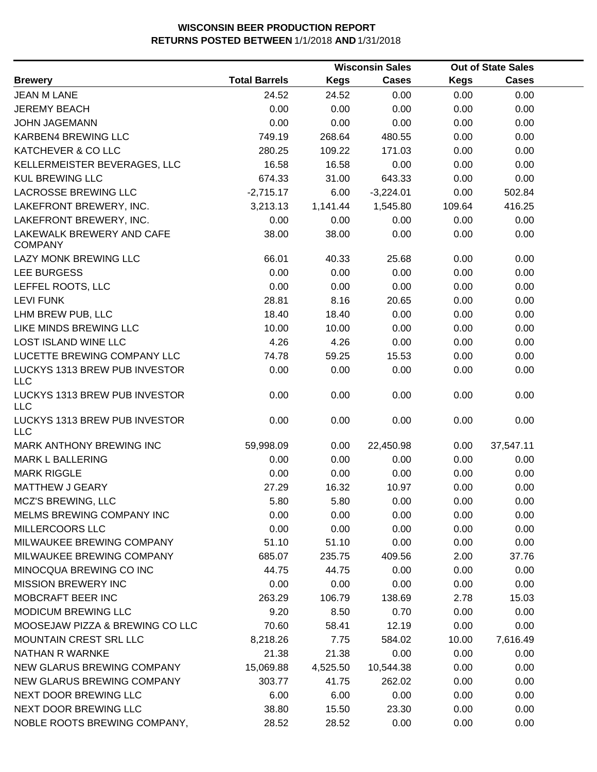|                                             |                      |             | <b>Wisconsin Sales</b> |             | <b>Out of State Sales</b> |  |
|---------------------------------------------|----------------------|-------------|------------------------|-------------|---------------------------|--|
| <b>Brewery</b>                              | <b>Total Barrels</b> | <b>Kegs</b> | <b>Cases</b>           | <b>Kegs</b> | <b>Cases</b>              |  |
| <b>JEAN M LANE</b>                          | 24.52                | 24.52       | 0.00                   | 0.00        | 0.00                      |  |
| <b>JEREMY BEACH</b>                         | 0.00                 | 0.00        | 0.00                   | 0.00        | 0.00                      |  |
| <b>JOHN JAGEMANN</b>                        | 0.00                 | 0.00        | 0.00                   | 0.00        | 0.00                      |  |
| KARBEN4 BREWING LLC                         | 749.19               | 268.64      | 480.55                 | 0.00        | 0.00                      |  |
| KATCHEVER & CO LLC                          | 280.25               | 109.22      | 171.03                 | 0.00        | 0.00                      |  |
| KELLERMEISTER BEVERAGES, LLC                | 16.58                | 16.58       | 0.00                   | 0.00        | 0.00                      |  |
| <b>KUL BREWING LLC</b>                      | 674.33               | 31.00       | 643.33                 | 0.00        | 0.00                      |  |
| LACROSSE BREWING LLC                        | $-2,715.17$          | 6.00        | $-3,224.01$            | 0.00        | 502.84                    |  |
| LAKEFRONT BREWERY, INC.                     | 3,213.13             | 1,141.44    | 1,545.80               | 109.64      | 416.25                    |  |
| LAKEFRONT BREWERY, INC.                     | 0.00                 | 0.00        | 0.00                   | 0.00        | 0.00                      |  |
| LAKEWALK BREWERY AND CAFE<br><b>COMPANY</b> | 38.00                | 38.00       | 0.00                   | 0.00        | 0.00                      |  |
| LAZY MONK BREWING LLC                       | 66.01                | 40.33       | 25.68                  | 0.00        | 0.00                      |  |
| LEE BURGESS                                 | 0.00                 | 0.00        | 0.00                   | 0.00        | 0.00                      |  |
| LEFFEL ROOTS, LLC                           | 0.00                 | 0.00        | 0.00                   | 0.00        | 0.00                      |  |
| <b>LEVI FUNK</b>                            | 28.81                | 8.16        | 20.65                  | 0.00        | 0.00                      |  |
| LHM BREW PUB, LLC                           | 18.40                | 18.40       | 0.00                   | 0.00        | 0.00                      |  |
| LIKE MINDS BREWING LLC                      | 10.00                | 10.00       | 0.00                   | 0.00        | 0.00                      |  |
| <b>LOST ISLAND WINE LLC</b>                 | 4.26                 | 4.26        | 0.00                   | 0.00        | 0.00                      |  |
| LUCETTE BREWING COMPANY LLC                 | 74.78                | 59.25       | 15.53                  | 0.00        | 0.00                      |  |
| LUCKYS 1313 BREW PUB INVESTOR<br><b>LLC</b> | 0.00                 | 0.00        | 0.00                   | 0.00        | 0.00                      |  |
| LUCKYS 1313 BREW PUB INVESTOR<br><b>LLC</b> | 0.00                 | 0.00        | 0.00                   | 0.00        | 0.00                      |  |
| LUCKYS 1313 BREW PUB INVESTOR<br><b>LLC</b> | 0.00                 | 0.00        | 0.00                   | 0.00        | 0.00                      |  |
| <b>MARK ANTHONY BREWING INC</b>             | 59,998.09            | 0.00        | 22,450.98              | 0.00        | 37,547.11                 |  |
| <b>MARK L BALLERING</b>                     | 0.00                 | 0.00        | 0.00                   | 0.00        | 0.00                      |  |
| <b>MARK RIGGLE</b>                          | 0.00                 | 0.00        | 0.00                   | 0.00        | 0.00                      |  |
| MATTHEW J GEARY                             | 27.29                | 16.32       | 10.97                  | 0.00        | 0.00                      |  |
| MCZ'S BREWING, LLC                          | 5.80                 | 5.80        | 0.00                   | 0.00        | 0.00                      |  |
| MELMS BREWING COMPANY INC                   | 0.00                 | 0.00        | 0.00                   | 0.00        | 0.00                      |  |
| MILLERCOORS LLC                             | 0.00                 | 0.00        | 0.00                   | 0.00        | 0.00                      |  |
| MILWAUKEE BREWING COMPANY                   | 51.10                | 51.10       | 0.00                   | 0.00        | 0.00                      |  |
| MILWAUKEE BREWING COMPANY                   | 685.07               | 235.75      | 409.56                 | 2.00        | 37.76                     |  |
| MINOCQUA BREWING CO INC                     | 44.75                | 44.75       | 0.00                   | 0.00        | 0.00                      |  |
| <b>MISSION BREWERY INC</b>                  | 0.00                 | 0.00        | 0.00                   | 0.00        | 0.00                      |  |
| MOBCRAFT BEER INC                           | 263.29               | 106.79      | 138.69                 | 2.78        | 15.03                     |  |
| <b>MODICUM BREWING LLC</b>                  | 9.20                 | 8.50        | 0.70                   | 0.00        | 0.00                      |  |
| MOOSEJAW PIZZA & BREWING CO LLC             | 70.60                | 58.41       | 12.19                  | 0.00        | 0.00                      |  |
| <b>MOUNTAIN CREST SRL LLC</b>               | 8,218.26             | 7.75        | 584.02                 | 10.00       | 7,616.49                  |  |
| <b>NATHAN R WARNKE</b>                      | 21.38                | 21.38       | 0.00                   | 0.00        | 0.00                      |  |
| NEW GLARUS BREWING COMPANY                  | 15,069.88            | 4,525.50    | 10,544.38              | 0.00        | 0.00                      |  |
| NEW GLARUS BREWING COMPANY                  | 303.77               | 41.75       | 262.02                 | 0.00        | 0.00                      |  |
| NEXT DOOR BREWING LLC                       | 6.00                 | 6.00        | 0.00                   | 0.00        | 0.00                      |  |
| NEXT DOOR BREWING LLC                       | 38.80                | 15.50       | 23.30                  | 0.00        | 0.00                      |  |
| NOBLE ROOTS BREWING COMPANY,                | 28.52                | 28.52       | 0.00                   | 0.00        | 0.00                      |  |
|                                             |                      |             |                        |             |                           |  |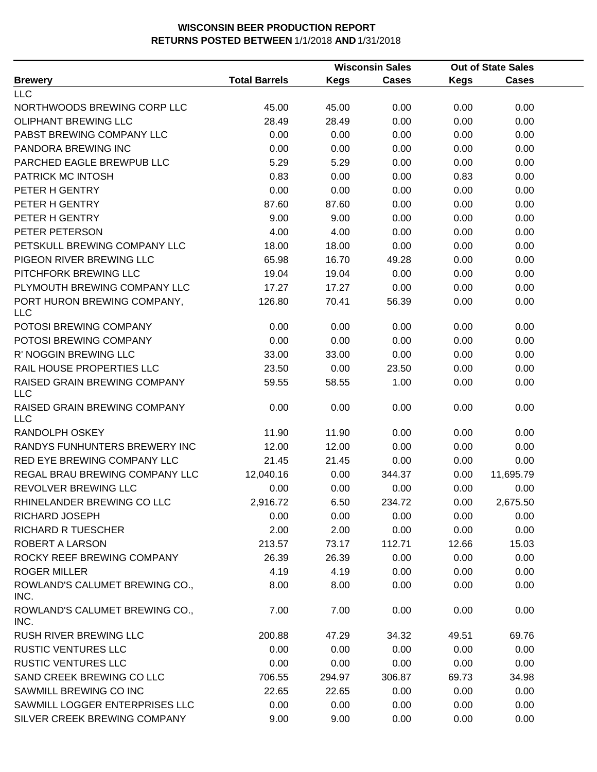|                                            |                      | <b>Wisconsin Sales</b> |              | <b>Out of State Sales</b> |              |  |
|--------------------------------------------|----------------------|------------------------|--------------|---------------------------|--------------|--|
| <b>Brewery</b>                             | <b>Total Barrels</b> | <b>Kegs</b>            | <b>Cases</b> | Kegs                      | <b>Cases</b> |  |
| <b>LLC</b>                                 |                      |                        |              |                           |              |  |
| NORTHWOODS BREWING CORP LLC                | 45.00                | 45.00                  | 0.00         | 0.00                      | 0.00         |  |
| <b>OLIPHANT BREWING LLC</b>                | 28.49                | 28.49                  | 0.00         | 0.00                      | 0.00         |  |
| PABST BREWING COMPANY LLC                  | 0.00                 | 0.00                   | 0.00         | 0.00                      | 0.00         |  |
| PANDORA BREWING INC                        | 0.00                 | 0.00                   | 0.00         | 0.00                      | 0.00         |  |
| PARCHED EAGLE BREWPUB LLC                  | 5.29                 | 5.29                   | 0.00         | 0.00                      | 0.00         |  |
| PATRICK MC INTOSH                          | 0.83                 | 0.00                   | 0.00         | 0.83                      | 0.00         |  |
| PETER H GENTRY                             | 0.00                 | 0.00                   | 0.00         | 0.00                      | 0.00         |  |
| PETER H GENTRY                             | 87.60                | 87.60                  | 0.00         | 0.00                      | 0.00         |  |
| PETER H GENTRY                             | 9.00                 | 9.00                   | 0.00         | 0.00                      | 0.00         |  |
| PETER PETERSON                             | 4.00                 | 4.00                   | 0.00         | 0.00                      | 0.00         |  |
| PETSKULL BREWING COMPANY LLC               | 18.00                | 18.00                  | 0.00         | 0.00                      | 0.00         |  |
| PIGEON RIVER BREWING LLC                   | 65.98                | 16.70                  | 49.28        | 0.00                      | 0.00         |  |
| PITCHFORK BREWING LLC                      | 19.04                | 19.04                  | 0.00         | 0.00                      | 0.00         |  |
| PLYMOUTH BREWING COMPANY LLC               | 17.27                | 17.27                  | 0.00         | 0.00                      | 0.00         |  |
| PORT HURON BREWING COMPANY,<br><b>LLC</b>  | 126.80               | 70.41                  | 56.39        | 0.00                      | 0.00         |  |
| POTOSI BREWING COMPANY                     | 0.00                 | 0.00                   | 0.00         | 0.00                      | 0.00         |  |
| POTOSI BREWING COMPANY                     | 0.00                 | 0.00                   | 0.00         | 0.00                      | 0.00         |  |
| R' NOGGIN BREWING LLC                      | 33.00                | 33.00                  | 0.00         | 0.00                      | 0.00         |  |
| RAIL HOUSE PROPERTIES LLC                  | 23.50                | 0.00                   | 23.50        | 0.00                      | 0.00         |  |
| RAISED GRAIN BREWING COMPANY<br><b>LLC</b> | 59.55                | 58.55                  | 1.00         | 0.00                      | 0.00         |  |
| RAISED GRAIN BREWING COMPANY<br><b>LLC</b> | 0.00                 | 0.00                   | 0.00         | 0.00                      | 0.00         |  |
| RANDOLPH OSKEY                             | 11.90                | 11.90                  | 0.00         | 0.00                      | 0.00         |  |
| RANDYS FUNHUNTERS BREWERY INC              | 12.00                | 12.00                  | 0.00         | 0.00                      | 0.00         |  |
| RED EYE BREWING COMPANY LLC                | 21.45                | 21.45                  | 0.00         | 0.00                      | 0.00         |  |
| REGAL BRAU BREWING COMPANY LLC             | 12,040.16            | 0.00                   | 344.37       | 0.00                      | 11,695.79    |  |
| REVOLVER BREWING LLC                       | 0.00                 | 0.00                   | 0.00         | 0.00                      | 0.00         |  |
| RHINELANDER BREWING CO LLC                 | 2,916.72             | 6.50                   | 234.72       | 0.00                      | 2,675.50     |  |
| RICHARD JOSEPH                             | 0.00                 | 0.00                   | 0.00         | 0.00                      | 0.00         |  |
| RICHARD R TUESCHER                         | 2.00                 | 2.00                   | 0.00         | 0.00                      | 0.00         |  |
| ROBERT A LARSON                            | 213.57               | 73.17                  | 112.71       | 12.66                     | 15.03        |  |
| ROCKY REEF BREWING COMPANY                 | 26.39                | 26.39                  | 0.00         | 0.00                      | 0.00         |  |
| <b>ROGER MILLER</b>                        | 4.19                 | 4.19                   | 0.00         | 0.00                      | 0.00         |  |
| ROWLAND'S CALUMET BREWING CO.,<br>INC.     | 8.00                 | 8.00                   | 0.00         | 0.00                      | 0.00         |  |
| ROWLAND'S CALUMET BREWING CO.,<br>INC.     | 7.00                 | 7.00                   | 0.00         | 0.00                      | 0.00         |  |
| <b>RUSH RIVER BREWING LLC</b>              | 200.88               | 47.29                  | 34.32        | 49.51                     | 69.76        |  |
| <b>RUSTIC VENTURES LLC</b>                 | 0.00                 | 0.00                   | 0.00         | 0.00                      | 0.00         |  |
| <b>RUSTIC VENTURES LLC</b>                 | 0.00                 | 0.00                   | 0.00         | 0.00                      | 0.00         |  |
| SAND CREEK BREWING CO LLC                  | 706.55               | 294.97                 | 306.87       | 69.73                     | 34.98        |  |
| SAWMILL BREWING CO INC                     | 22.65                | 22.65                  | 0.00         | 0.00                      | 0.00         |  |
| SAWMILL LOGGER ENTERPRISES LLC             | 0.00                 | 0.00                   | 0.00         | 0.00                      | 0.00         |  |
| SILVER CREEK BREWING COMPANY               | 9.00                 | 9.00                   | 0.00         | 0.00                      | 0.00         |  |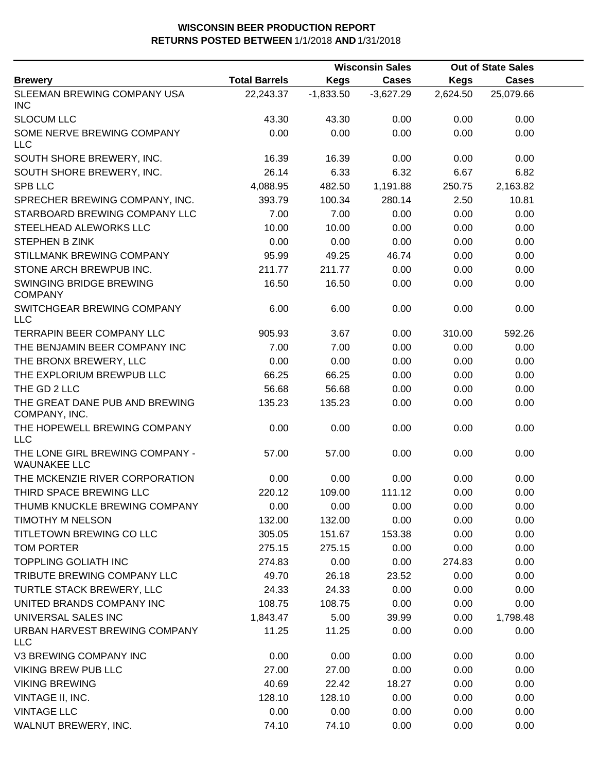|                                                        |                      | <b>Wisconsin Sales</b> |              |             | <b>Out of State Sales</b> |  |
|--------------------------------------------------------|----------------------|------------------------|--------------|-------------|---------------------------|--|
| <b>Brewery</b>                                         | <b>Total Barrels</b> | <b>Kegs</b>            | <b>Cases</b> | <b>Kegs</b> | <b>Cases</b>              |  |
| SLEEMAN BREWING COMPANY USA<br><b>INC</b>              | 22,243.37            | $-1,833.50$            | $-3,627.29$  | 2,624.50    | 25,079.66                 |  |
| <b>SLOCUM LLC</b>                                      | 43.30                | 43.30                  | 0.00         | 0.00        | 0.00                      |  |
| SOME NERVE BREWING COMPANY<br><b>LLC</b>               | 0.00                 | 0.00                   | 0.00         | 0.00        | 0.00                      |  |
| SOUTH SHORE BREWERY, INC.                              | 16.39                | 16.39                  | 0.00         | 0.00        | 0.00                      |  |
| SOUTH SHORE BREWERY, INC.                              | 26.14                | 6.33                   | 6.32         | 6.67        | 6.82                      |  |
| SPB LLC                                                | 4,088.95             | 482.50                 | 1,191.88     | 250.75      | 2,163.82                  |  |
| SPRECHER BREWING COMPANY, INC.                         | 393.79               | 100.34                 | 280.14       | 2.50        | 10.81                     |  |
| STARBOARD BREWING COMPANY LLC                          | 7.00                 | 7.00                   | 0.00         | 0.00        | 0.00                      |  |
| STEELHEAD ALEWORKS LLC                                 | 10.00                | 10.00                  | 0.00         | 0.00        | 0.00                      |  |
| <b>STEPHEN B ZINK</b>                                  | 0.00                 | 0.00                   | 0.00         | 0.00        | 0.00                      |  |
| STILLMANK BREWING COMPANY                              | 95.99                | 49.25                  | 46.74        | 0.00        | 0.00                      |  |
| STONE ARCH BREWPUB INC.                                | 211.77               | 211.77                 | 0.00         | 0.00        | 0.00                      |  |
| SWINGING BRIDGE BREWING<br><b>COMPANY</b>              | 16.50                | 16.50                  | 0.00         | 0.00        | 0.00                      |  |
| SWITCHGEAR BREWING COMPANY<br><b>LLC</b>               | 6.00                 | 6.00                   | 0.00         | 0.00        | 0.00                      |  |
| <b>TERRAPIN BEER COMPANY LLC</b>                       | 905.93               | 3.67                   | 0.00         | 310.00      | 592.26                    |  |
| THE BENJAMIN BEER COMPANY INC                          | 7.00                 | 7.00                   | 0.00         | 0.00        | 0.00                      |  |
| THE BRONX BREWERY, LLC                                 | 0.00                 | 0.00                   | 0.00         | 0.00        | 0.00                      |  |
| THE EXPLORIUM BREWPUB LLC                              | 66.25                | 66.25                  | 0.00         | 0.00        | 0.00                      |  |
| THE GD 2 LLC                                           | 56.68                | 56.68                  | 0.00         | 0.00        | 0.00                      |  |
| THE GREAT DANE PUB AND BREWING<br>COMPANY, INC.        | 135.23               | 135.23                 | 0.00         | 0.00        | 0.00                      |  |
| THE HOPEWELL BREWING COMPANY<br><b>LLC</b>             | 0.00                 | 0.00                   | 0.00         | 0.00        | 0.00                      |  |
| THE LONE GIRL BREWING COMPANY -<br><b>WAUNAKEE LLC</b> | 57.00                | 57.00                  | 0.00         | 0.00        | 0.00                      |  |
| THE MCKENZIE RIVER CORPORATION                         | 0.00                 | 0.00                   | 0.00         | 0.00        | 0.00                      |  |
| THIRD SPACE BREWING LLC                                | 220.12               | 109.00                 | 111.12       | 0.00        | 0.00                      |  |
| THUMB KNUCKLE BREWING COMPANY                          | 0.00                 | 0.00                   | 0.00         | 0.00        | 0.00                      |  |
| TIMOTHY M NELSON                                       | 132.00               | 132.00                 | 0.00         | 0.00        | 0.00                      |  |
| TITLETOWN BREWING CO LLC                               | 305.05               | 151.67                 | 153.38       | 0.00        | 0.00                      |  |
| <b>TOM PORTER</b>                                      | 275.15               | 275.15                 | 0.00         | 0.00        | 0.00                      |  |
| <b>TOPPLING GOLIATH INC</b>                            | 274.83               | 0.00                   | 0.00         | 274.83      | 0.00                      |  |
| TRIBUTE BREWING COMPANY LLC                            | 49.70                | 26.18                  | 23.52        | 0.00        | 0.00                      |  |
| TURTLE STACK BREWERY, LLC                              | 24.33                | 24.33                  | 0.00         | 0.00        | 0.00                      |  |
| UNITED BRANDS COMPANY INC                              | 108.75               | 108.75                 | 0.00         | 0.00        | 0.00                      |  |
| UNIVERSAL SALES INC                                    | 1,843.47             | 5.00                   | 39.99        | 0.00        | 1,798.48                  |  |
| URBAN HARVEST BREWING COMPANY<br><b>LLC</b>            | 11.25                | 11.25                  | 0.00         | 0.00        | 0.00                      |  |
| V3 BREWING COMPANY INC                                 | 0.00                 | 0.00                   | 0.00         | 0.00        | 0.00                      |  |
| <b>VIKING BREW PUB LLC</b>                             | 27.00                | 27.00                  | 0.00         | 0.00        | 0.00                      |  |
| <b>VIKING BREWING</b>                                  | 40.69                | 22.42                  | 18.27        | 0.00        | 0.00                      |  |
| VINTAGE II, INC.                                       | 128.10               | 128.10                 | 0.00         | 0.00        | 0.00                      |  |
| <b>VINTAGE LLC</b>                                     | 0.00                 | 0.00                   | 0.00         | 0.00        | 0.00                      |  |
| WALNUT BREWERY, INC.                                   | 74.10                | 74.10                  | 0.00         | 0.00        | 0.00                      |  |